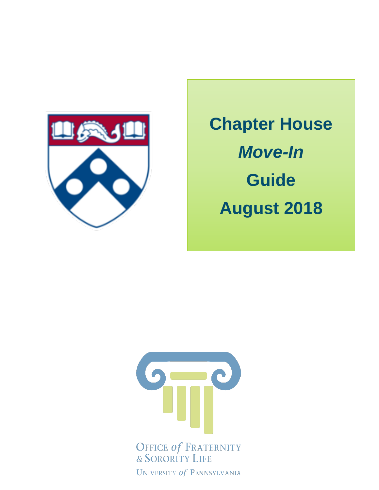

# **Chapter House** *Move-In* **Guide August 2018**



UNIVERSITY of PENNSYLVANIA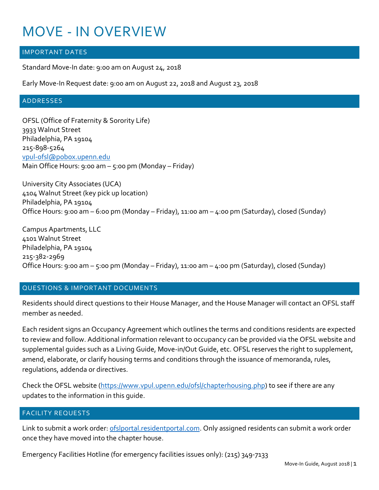## MOVE - IN OVERVIEW

#### IMPORTANT DATES

Standard Move-In date: 9:00 am on August 24, 2018

Early Move-In Request date: 9:00 am on August 22, 2018 and August 23, 2018

#### ADDRESSES

OFSL (Office of Fraternity & Sorority Life) 3933 Walnut Street Philadelphia, PA 19104 215-898-5264 [vpul-ofsl@pobox.upenn.edu](mailto:vpul-ofsl@pobox.upenn.edu) Main Office Hours: 9:00 am – 5:00 pm (Monday – Friday)

University City Associates (UCA) 4104 Walnut Street (key pick up location) Philadelphia, PA 19104 Office Hours: 9:00 am – 6:00 pm (Monday – Friday), 11:00 am – 4:00 pm (Saturday), closed (Sunday)

Campus Apartments, LLC 4101 Walnut Street Philadelphia, PA 19104 215-382-2969 Office Hours: 9:00 am – 5:00 pm (Monday – Friday), 11:00 am – 4:00 pm (Saturday), closed (Sunday)

#### QUESTIONS & IMPORTANT DOCUMENTS

Residents should direct questions to their House Manager, and the House Manager will contact an OFSL staff member as needed.

Each resident signs an Occupancy Agreement which outlines the terms and conditions residents are expected to review and follow. Additional information relevant to occupancy can be provided via the OFSL website and supplemental guides such as a Living Guide, Move-in/Out Guide, etc. OFSL reserves the right to supplement, amend, elaborate, or clarify housing terms and conditions through the issuance of memoranda, rules, regulations, addenda or directives.

Check the OFSL website [\(https://www.vpul.upenn.edu/ofsl/chapterhousing.php\)](https://www.vpul.upenn.edu/ofsl/chapterhousing.php) to see if there are any updates to the information in this guide.

#### FACILITY REQUESTS

Link to submit a work order: of slportal.resident portal.com. Only assigned residents can submit a work order once they have moved into the chapter house.

Emergency Facilities Hotline (for emergency facilities issues only): (215) 349-7133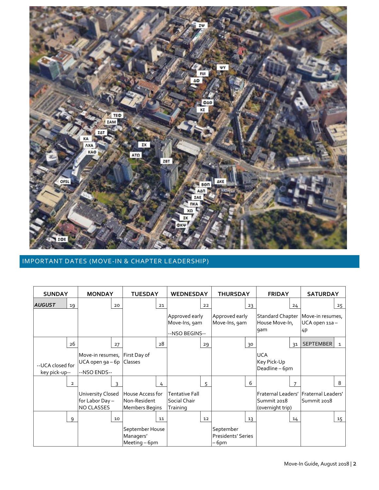

#### IMPORTANT DATES (MOVE-IN & CHAPTER LEADERSHIP)

| <b>SUNDAY</b>                     |    | <b>MONDAY</b>                                                               |    | <b>TUESDAY</b>                                            |    | <b>WEDNESDAY</b>                                  |    | <b>THURSDAY</b>                          |    | <b>FRIDAY</b>                               |                | <b>SATURDAY</b>                                              |              |
|-----------------------------------|----|-----------------------------------------------------------------------------|----|-----------------------------------------------------------|----|---------------------------------------------------|----|------------------------------------------|----|---------------------------------------------|----------------|--------------------------------------------------------------|--------------|
| <b>AUGUST</b>                     | 19 |                                                                             | 20 |                                                           | 21 |                                                   | 22 |                                          | 23 |                                             | 24             |                                                              | 25           |
|                                   |    |                                                                             |    |                                                           |    | Approved early<br>Move-Ins, 9am<br>--NSO BEGINS-- |    | Approved early<br>Move-Ins, 9am          |    | House Move-In,<br>gam                       |                | Standard Chapter   Move-in resumes,<br>UCA open 11a-<br>14 P |              |
|                                   | 26 |                                                                             | 27 |                                                           | 28 |                                                   | 29 |                                          | 30 |                                             | 3 <sup>1</sup> | <b>SEPTEMBER</b>                                             | $\mathbf{1}$ |
| --UCA closed for<br>key pick-up-- |    | Move-in resumes, First Day of<br>UCA open 9a - 6p   Classes<br>--NSO ENDS-- |    |                                                           |    |                                                   |    |                                          |    | <b>UCA</b><br>Key Pick-Up<br>Deadline - 6pm |                |                                                              |              |
|                                   | 2  |                                                                             | 3  |                                                           | 4  |                                                   | 5  |                                          | 6  |                                             |                |                                                              | 8            |
|                                   |    | University Closed<br>for Labor Day -<br><b>NO CLASSES</b>                   |    | House Access for<br>Non-Resident<br><b>Members Begins</b> |    | Tentative Fall<br>Social Chair<br>Training        |    |                                          |    | Summit 2018<br>(overnight trip)             |                | Fraternal Leaders'   Fraternal Leaders'<br>Summit 2018       |              |
|                                   | 9  |                                                                             | 10 |                                                           | 11 |                                                   | 12 |                                          | 13 |                                             | 14             |                                                              | 15           |
|                                   |    |                                                                             |    | September House<br>Managers'<br>Meeting - 6pm             |    |                                                   |    | September<br>Presidents' Series<br>– 6pm |    |                                             |                |                                                              |              |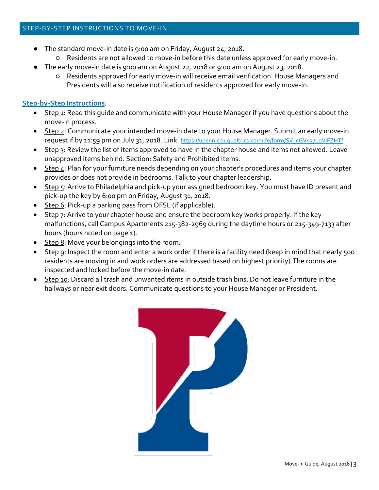- The standard move-in date is 9:00 am on Friday, August 24, 2018.
	- Residents are not allowed to move-in before this date unless approved for early move-in.
- The early move-in date is 9:00 am on August 22, 2018 or 9:00 am on August 23, 2018.
	- Residents approved for early move-in will receive email verification. House Managers and Presidents will also receive notification of residents approved for early move-in.

#### **Step-by-Step Instructions**:

- Step 1: Read this guide and communicate with your House Manager if you have questions about the move-in process.
- Step 2: Communicate your intended move-in date to your House Manager. Submit an early move-in request if by 11:59 pm on July 31, 2018. Link: [https://upenn.co1.qualtrics.com/jfe/form/SV\\_cGVn37LgViFZHTf](https://upenn.co1.qualtrics.com/jfe/form/SV_cGVn37LgViFZHTf)
- Step 3: Review the list of items approved to have in the chapter house and items not allowed. Leave unapproved items behind. Section: Safety and Prohibited Items.
- Step 4: Plan for your furniture needs depending on your chapter's procedures and items your chapter provides or does not provide in bedrooms. Talk to your chapter leadership.
- Step 5: Arrive to Philadelphia and pick-up your assigned bedroom key. You must have ID present and pick-up the key by 6:00 pm on Friday, August 31, 2018.
- $\bullet$  Step 6: Pick-up a parking pass from OFSL (if applicable).
- Step 7: Arrive to your chapter house and ensure the bedroom key works properly. If the key malfunctions, call Campus Apartments 215-382-2969 during the daytime hours or 215-349-7133 after hours (hours noted on page 1).
- Step 8: Move your belongings into the room.
- Step 9: Inspect the room and enter a work order if there is a facility need (keep in mind that nearly 500 residents are moving in and work orders are addressed based on highest priority).The rooms are inspected and locked before the move-in date.
- Step 10: Discard all trash and unwanted items in outside trash bins. Do not leave furniture in the hallways or near exit doors. Communicate questions to your House Manager or President.

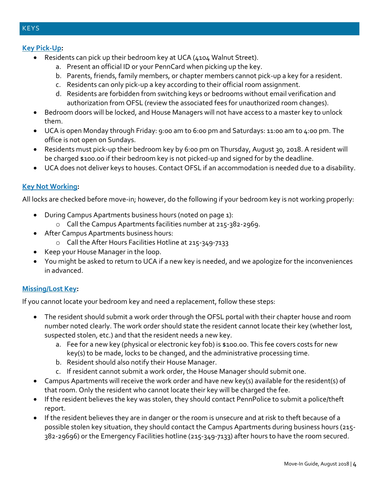**KEYS** 

#### **Key Pick-Up:**

- Residents can pick up their bedroom key at UCA (4104 Walnut Street).
	- a. Present an official ID or your PennCard when picking up the key.
	- b. Parents, friends, family members, or chapter members cannot pick-up a key for a resident.
	- c. Residents can only pick-up a key according to their official room assignment.
	- d. Residents are forbidden from switching keys or bedrooms without email verification and authorization from OFSL (review the associated fees for unauthorized room changes).
- Bedroom doors will be locked, and House Managers will not have access to a master key to unlock them.
- UCA is open Monday through Friday: 9:00 am to 6:00 pm and Saturdays: 11:00 am to 4:00 pm. The office is not open on Sundays.
- Residents must pick-up their bedroom key by 6:00 pm on Thursday, August 30, 2018. A resident will be charged \$100.00 if their bedroom key is not picked-up and signed for by the deadline.
- UCA does not deliver keys to houses. Contact OFSL if an accommodation is needed due to a disability.

#### **Key Not Working:**

All locks are checked before move-in; however, do the following if your bedroom key is not working properly:

- During Campus Apartments business hours (noted on page 1):
	- o Call the Campus Apartments facilities number at 215-382-2969.
- After Campus Apartments business hours:
	- o Call the After Hours Facilities Hotline at 215-349-7133
- Keep your House Manager in the loop.
- You might be asked to return to UCA if a new key is needed, and we apologize for the inconveniences in advanced.

#### **Missing/Lost Key:**

If you cannot locate your bedroom key and need a replacement, follow these steps:

- The resident should submit a work order through the OFSL portal with their chapter house and room number noted clearly. The work order should state the resident cannot locate their key (whether lost, suspected stolen, etc.) and that the resident needs a new key.
	- a. Fee for a new key (physical or electronic key fob) is \$100.00. This fee covers costs for new key(s) to be made, locks to be changed, and the administrative processing time.
	- b. Resident should also notify their House Manager.
	- c. If resident cannot submit a work order, the House Manager should submit one.
- Campus Apartments will receive the work order and have new key(s) available for the resident(s) of that room. Only the resident who cannot locate their key will be charged the fee.
- If the resident believes the key was stolen, they should contact PennPolice to submit a police/theft report.
- If the resident believes they are in danger or the room is unsecure and at risk to theft because of a possible stolen key situation, they should contact the Campus Apartments during business hours (215- 382-29696) or the Emergency Facilities hotline (215-349-7133) after hours to have the room secured.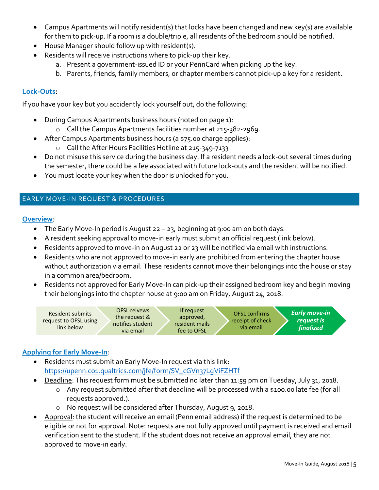- Campus Apartments will notify resident(s) that locks have been changed and new key(s) are available for them to pick-up. If a room is a double/triple, all residents of the bedroom should be notified.
- House Manager should follow up with resident(s).
- Residents will receive instructions where to pick-up their key.
	- a. Present a government-issued ID or your PennCard when picking up the key.
	- b. Parents, friends, family members, or chapter members cannot pick-up a key for a resident.

#### **Lock-Outs:**

If you have your key but you accidently lock yourself out, do the following:

- During Campus Apartments business hours (noted on page 1):
	- o Call the Campus Apartments facilities number at 215-382-2969.
- After Campus Apartments business hours (a \$75.00 charge applies):
	- o Call the After Hours Facilities Hotline at 215-349-7133
- Do not misuse this service during the business day. If a resident needs a lock-out several times during the semester, there could be a fee associated with future lock-outs and the resident will be notified.
- You must locate your key when the door is unlocked for you.

#### EARLY MOVE-IN REQUEST & PROCEDURES

#### **Overview**:

- The Early Move-In period is August 22 23, beginning at 9:00 am on both days.
- A resident seeking approval to move-in early must submit an official request (link below).
- Residents approved to move-in on August 22 or 23 will be notified via email with instructions.
- Residents who are not approved to move-in early are prohibited from entering the chapter house without authorization via email. These residents cannot move their belongings into the house or stay in a common area/bedroom.
- Residents not approved for Early Move-In can pick-up their assigned bedroom key and begin moving their belongings into the chapter house at 9:00 am on Friday, August 24, 2018.



### **Applying for Early Move-In**:

- Residents must submit an Early Move-In request via this link: [https://upenn.co1.qualtrics.com/jfe/form/SV\\_cGVn37LgViFZHTf](https://upenn.co1.qualtrics.com/jfe/form/SV_cGVn37LgViFZHTf)
- Deadline: This request form must be submitted no later than 11:59 pm on Tuesday, July 31, 2018.
	- o Any request submitted after that deadline will be processed with a \$100.00 late fee (for all requests approved.).
	- o No request will be considered after Thursday, August 9, 2018.
- Approval: the student will receive an email (Penn email address) if the request is determined to be eligible or not for approval. Note: requests are not fully approved until payment is received and email verification sent to the student. If the student does not receive an approval email, they are not approved to move-in early.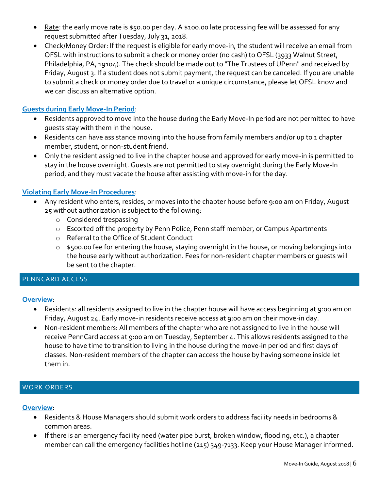- Rate: the early move rate is \$50.00 per day. A \$100.00 late processing fee will be assessed for any request submitted after Tuesday, July 31, 2018.
- Check/Money Order: If the request is eligible for early move-in, the student will receive an email from OFSL with instructions to submit a check or money order (no cash) to OFSL (3933 Walnut Street, Philadelphia, PA, 19104). The check should be made out to "The Trustees of UPenn" and received by Friday, August 3. If a student does not submit payment, the request can be canceled. If you are unable to submit a check or money order due to travel or a unique circumstance, please let OFSL know and we can discuss an alternative option.

#### **Guests during Early Move-In Period**:

- Residents approved to move into the house during the Early Move-In period are not permitted to have guests stay with them in the house.
- Residents can have assistance moving into the house from family members and/or up to 1 chapter member, student, or non-student friend.
- Only the resident assigned to live in the chapter house and approved for early move-in is permitted to stay in the house overnight. Guests are not permitted to stay overnight during the Early Move-In period, and they must vacate the house after assisting with move-in for the day.

#### **Violating Early Move-In Procedures**:

- Any resident who enters, resides, or moves into the chapter house before 9:00 am on Friday, August 25 without authorization is subject to the following:
	- o Considered trespassing
	- o Escorted off the property by Penn Police, Penn staff member, or Campus Apartments
	- o Referral to the Office of Student Conduct
	- o \$500.00 fee for entering the house, staying overnight in the house, or moving belongings into the house early without authorization. Fees for non-resident chapter members or guests will be sent to the chapter.

#### PENNCARD ACCESS

#### **Overview**:

- Residents: all residents assigned to live in the chapter house will have access beginning at 9:00 am on Friday, August 24. Early move-in residents receive access at 9:00 am on their move-in day.
- Non-resident members: All members of the chapter who are not assigned to live in the house will receive PennCard access at 9:00 am on Tuesday, September 4. This allows residents assigned to the house to have time to transition to living in the house during the move-in period and first days of classes. Non-resident members of the chapter can access the house by having someone inside let them in.

#### WORK ORDERS

#### **Overview**:

- Residents & House Managers should submit work orders to address facility needs in bedrooms & common areas.
- If there is an emergency facility need (water pipe burst, broken window, flooding, etc.), a chapter member can call the emergency facilities hotline (215) 349-7133. Keep your House Manager informed.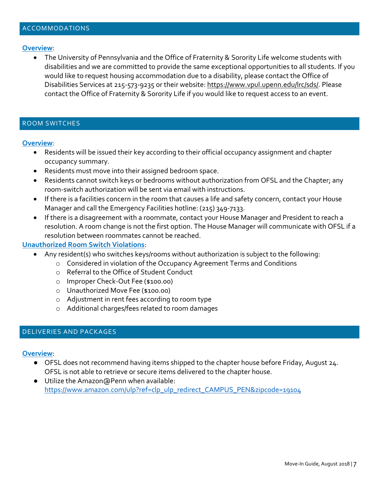#### **Overview**:

 The University of Pennsylvania and the Office of Fraternity & Sorority Life welcome students with disabilities and we are committed to provide the same exceptional opportunities to all students. If you would like to request housing accommodation due to a disability, please contact the Office of Disabilities Services at 215-573-9235 or their website: [https://www.vpul.upenn.edu/lrc/sds/.](https://www.vpul.upenn.edu/lrc/sds/) Please contact the Office of Fraternity & Sorority Life if you would like to request access to an event.

#### ROOM SWITCHES

#### **Overview**:

- Residents will be issued their key according to their official occupancy assignment and chapter occupancy summary.
- Residents must move into their assigned bedroom space.
- Residents cannot switch keys or bedrooms without authorization from OFSL and the Chapter; any room-switch authorization will be sent via email with instructions.
- If there is a facilities concern in the room that causes a life and safety concern, contact your House Manager and call the Emergency Facilities hotline: (215) 349-7133.
- If there is a disagreement with a roommate, contact your House Manager and President to reach a resolution. A room change is not the first option. The House Manager will communicate with OFSL if a resolution between roommates cannot be reached.

#### **Unauthorized Room Switch Violations**:

- Any resident(s) who switches keys/rooms without authorization is subject to the following:
	- o Considered in violation of the Occupancy Agreement Terms and Conditions
		- o Referral to the Office of Student Conduct
		- o Improper Check-Out Fee (\$100.00)
		- o Unauthorized Move Fee (\$100.00)
		- o Adjustment in rent fees according to room type
		- o Additional charges/fees related to room damages

#### DELIVERIES AND PACKAGES

#### **Overview**:

- OFSL does not recommend having items shipped to the chapter house before Friday, August 24. OFSL is not able to retrieve or secure items delivered to the chapter house.
- Utilize the Amazon@Penn when available: [https://www.amazon.com/ulp?ref=clp\\_ulp\\_redirect\\_CAMPUS\\_PEN&zipcode=19104](https://www.amazon.com/ulp?ref=clp_ulp_redirect_CAMPUS_PEN&zipcode=19104)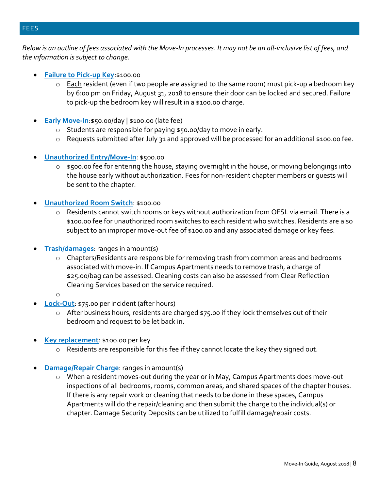#### FEES

*Below is an outline of fees associated with the Move-In processes. It may not be an all-inclusive list of fees, and the information is subject to change.* 

- **Failure to Pick-up Key**:\$100.00
	- $\circ$  Each resident (even if two people are assigned to the same room) must pick-up a bedroom key by 6:00 pm on Friday, August 31, 2018 to ensure their door can be locked and secured. Failure to pick-up the bedroom key will result in a \$100.00 charge.
- **Early Move-In:**\$50.00/day | \$100.00 (late fee)
	- o Students are responsible for paying \$50.00/day to move in early.
	- $\circ$  Requests submitted after July 31 and approved will be processed for an additional \$100.00 fee.
- **Unauthorized Entry/Move-In: \$500.00** 
	- o \$500.00 fee for entering the house, staying overnight in the house, or moving belongings into the house early without authorization. Fees for non-resident chapter members or guests will be sent to the chapter.
- **Unauthorized Room Switch**: \$100.00
	- o Residents cannot switch rooms or keys without authorization from OFSL via email. There is a \$100.00 fee for unauthorized room switches to each resident who switches. Residents are also subject to an improper move-out fee of \$100.00 and any associated damage or key fees.
- **Trash/damages**: ranges in amount(s)
	- o Chapters/Residents are responsible for removing trash from common areas and bedrooms associated with move-in. If Campus Apartments needs to remove trash, a charge of \$25.00/bag can be assessed. Cleaning costs can also be assessed from Clear Reflection Cleaning Services based on the service required.
	- o
- **Lock-Out**: \$75.00 per incident (after hours)
	- o After business hours, residents are charged \$75.00 if they lock themselves out of their bedroom and request to be let back in.
- **Key replacement**: \$100.00 per key
	- o Residents are responsible for this fee if they cannot locate the key they signed out.
- **Damage/Repair Charge**: ranges in amount(s)
	- o When a resident moves-out during the year or in May, Campus Apartments does move-out inspections of all bedrooms, rooms, common areas, and shared spaces of the chapter houses. If there is any repair work or cleaning that needs to be done in these spaces, Campus Apartments will do the repair/cleaning and then submit the charge to the individual(s) or chapter. Damage Security Deposits can be utilized to fulfill damage/repair costs.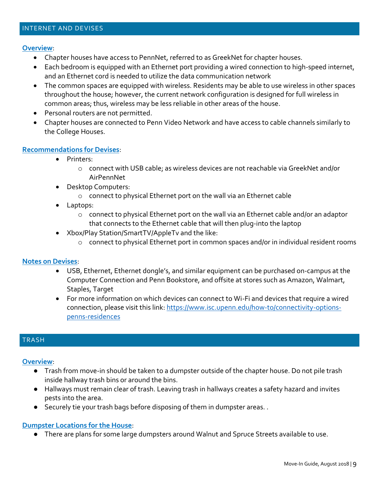#### INTERNET AND DEVISES

#### **Overview**:

- Chapter houses have access to PennNet, referred to as GreekNet for chapter houses.
- Each bedroom is equipped with an Ethernet port providing a wired connection to high-speed internet, and an Ethernet cord is needed to utilize the data communication network
- The common spaces are equipped with wireless. Residents may be able to use wireless in other spaces throughout the house; however, the current network configuration is designed for full wireless in common areas; thus, wireless may be less reliable in other areas of the house.
- Personal routers are not permitted.
- Chapter houses are connected to Penn Video Network and have access to cable channels similarly to the College Houses.

#### **Recommendations for Devises**:

- Printers:
	- o connect with USB cable; as wireless devices are not reachable via GreekNet and/or AirPennNet
- Desktop Computers:
	- o connect to physical Ethernet port on the wall via an Ethernet cable
- Laptops:
	- o connect to physical Ethernet port on the wall via an Ethernet cable and/or an adaptor that connects to the Ethernet cable that will then plug-into the laptop
- Xbox/Play Station/SmartTV/AppleTv and the like:
	- $\circ$  connect to physical Ethernet port in common spaces and/or in individual resident rooms

#### **Notes on Devises**:

- USB, Ethernet, Ethernet dongle's, and similar equipment can be purchased on-campus at the Computer Connection and Penn Bookstore, and offsite at stores such as Amazon, Walmart, Staples, Target
- For more information on which devices can connect to Wi-Fi and devices that require a wired connection, please visit this link: [https://www.isc.upenn.edu/how-to/connectivity-options](https://www.isc.upenn.edu/how-to/connectivity-options-penns-residences)[penns-residences](https://www.isc.upenn.edu/how-to/connectivity-options-penns-residences)

#### **TRASH**

#### **Overview**:

- Trash from move-in should be taken to a dumpster outside of the chapter house. Do not pile trash inside hallway trash bins or around the bins.
- Hallways must remain clear of trash. Leaving trash in hallways creates a safety hazard and invites pests into the area.
- Securely tie your trash bags before disposing of them in dumpster areas..

#### **Dumpster Locations for the House**:

● There are plans for some large dumpsters around Walnut and Spruce Streets available to use.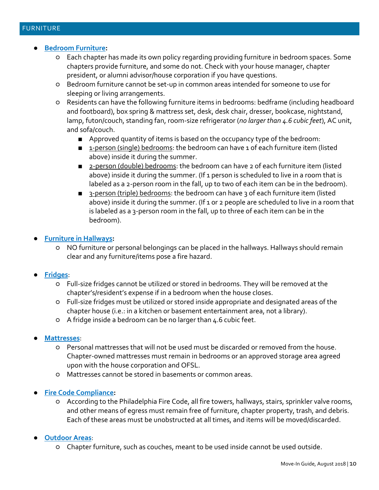- **Bedroom Furniture:** 
	- Each chapter has made its own policy regarding providing furniture in bedroom spaces. Some chapters provide furniture, and some do not. Check with your house manager, chapter president, or alumni advisor/house corporation if you have questions.
	- Bedroom furniture cannot be set-up in common areas intended for someone to use for sleeping or living arrangements.
	- Residents can have the following furniture items in bedrooms: bedframe (including headboard and footboard), box spring & mattress set, desk, desk chair, dresser, bookcase, nightstand, lamp, futon/couch, standing fan, room-size refrigerator (*no larger than 4.6 cubic feet*), AC unit, and sofa/couch.
		- Approved quantity of items is based on the occupancy type of the bedroom:
		- 1-person (single) bedrooms: the bedroom can have 1 of each furniture item (listed above) inside it during the summer.
		- 2-person (double) bedrooms: the bedroom can have 2 of each furniture item (listed above) inside it during the summer. (If 1 person is scheduled to live in a room that is labeled as a 2-person room in the fall, up to two of each item can be in the bedroom).
		- 3-person (triple) bedrooms: the bedroom can have 3 of each furniture item (listed above) inside it during the summer. (If 1 or 2 people are scheduled to live in a room that is labeled as a 3-person room in the fall, up to three of each item can be in the bedroom).
- **Furniture in Hallways:**
	- NO furniture or personal belongings can be placed in the hallways. Hallways should remain clear and any furniture/items pose a fire hazard.
- **Fridges**:
	- Full-size fridges cannot be utilized or stored in bedrooms. They will be removed at the chapter's/resident's expense if in a bedroom when the house closes.
	- Full-size fridges must be utilized or stored inside appropriate and designated areas of the chapter house (i.e.: in a kitchen or basement entertainment area, not a library).
	- A fridge inside a bedroom can be no larger than 4.6 cubic feet.
- **Mattresses**:
	- Personal mattresses that will not be used must be discarded or removed from the house. Chapter-owned mattresses must remain in bedrooms or an approved storage area agreed upon with the house corporation and OFSL.
	- Mattresses cannot be stored in basements or common areas.
- **Fire Code Compliance:** 
	- According to the Philadelphia Fire Code, all fire towers, hallways, stairs, sprinkler valve rooms, and other means of egress must remain free of furniture, chapter property, trash, and debris. Each of these areas must be unobstructed at all times, and items will be moved/discarded.
- **Outdoor Areas**:
	- Chapter furniture, such as couches, meant to be used inside cannot be used outside.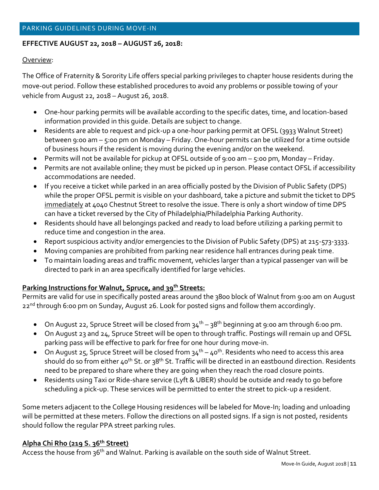#### **EFFECTIVE AUGUST 22, 2018 – AUGUST 26, 2018:**

#### Overview:

The Office of Fraternity & Sorority Life offers special parking privileges to chapter house residents during the move-out period. Follow these established procedures to avoid any problems or possible towing of your vehicle from August 22, 2018 – August 26, 2018.

- One-hour parking permits will be available according to the specific dates, time, and location-based information provided in this guide. Details are subject to change.
- Residents are able to request and pick-up a one-hour parking permit at OFSL (3933 Walnut Street) between 9:00 am – 5:00 pm on Monday – Friday. One-hour permits can be utilized for a time outside of business hours if the resident is moving during the evening and/or on the weekend.
- Permits will not be available for pickup at OFSL outside of 9:00 am 5:00 pm, Monday Friday.
- Permits are not available online; they must be picked up in person. Please contact OFSL if accessibility accommodations are needed.
- If you receive a ticket while parked in an area officially posted by the Division of Public Safety (DPS) while the proper OFSL permit is visible on your dashboard, take a picture and submit the ticket to DPS immediately at 4040 Chestnut Street to resolve the issue. There is only a short window of time DPS can have a ticket reversed by the City of Philadelphia/Philadelphia Parking Authority.
- Residents should have all belongings packed and ready to load before utilizing a parking permit to reduce time and congestion in the area.
- Report suspicious activity and/or emergencies to the Division of Public Safety (DPS) at 215-573-3333.
- Moving companies are prohibited from parking near residence hall entrances during peak time.
- To maintain loading areas and traffic movement, vehicles larger than a typical passenger van will be directed to park in an area specifically identified for large vehicles.

#### **Parking Instructions for Walnut, Spruce, and 39th Streets:**

Permits are valid for use in specifically posted areas around the 3800 block of Walnut from 9:00 am on August 22<sup>nd</sup> through 6:00 pm on Sunday, August 26. Look for posted signs and follow them accordingly.

- On August 22, Spruce Street will be closed from  $34^{th} 38^{th}$  beginning at 9:00 am through 6:00 pm.
- On August 23 and 24, Spruce Street will be open to through traffic. Postings will remain up and OFSL parking pass will be effective to park for free for one hour during move-in.
- $\bullet$  On August 25, Spruce Street will be closed from 34<sup>th</sup> 40<sup>th</sup>. Residents who need to access this area should do so from either 40<sup>th</sup> St. or 38<sup>th</sup> St. Traffic will be directed in an eastbound direction. Residents need to be prepared to share where they are going when they reach the road closure points.
- Residents using Taxi or Ride-share service (Lyft & UBER) should be outside and ready to go before scheduling a pick-up. These services will be permitted to enter the street to pick-up a resident.

Some meters adjacent to the College Housing residences will be labeled for Move-In; loading and unloading will be permitted at these meters. Follow the directions on all posted signs. If a sign is not posted, residents should follow the regular PPA street parking rules.

#### **Alpha Chi Rho (219 S. 36th Street)**

Access the house from 36<sup>th</sup> and Walnut. Parking is available on the south side of Walnut Street.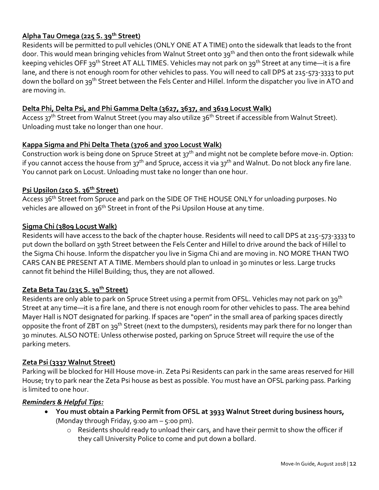#### **Alpha Tau Omega (225 S. 39th Street)**

Residents will be permitted to pull vehicles (ONLY ONE AT A TIME) onto the sidewalk that leads to the front door. This would mean bringing vehicles from Walnut Street onto 39<sup>th</sup> and then onto the front sidewalk while keeping vehicles OFF 39<sup>th</sup> Street AT ALL TIMES. Vehicles may not park on 39<sup>th</sup> Street at any time—it is a fire lane, and there is not enough room for other vehicles to pass. You will need to call DPS at 215-573-3333 to put down the bollard on 39<sup>th</sup> Street between the Fels Center and Hillel. Inform the dispatcher you live in ATO and are moving in.

#### **Delta Phi, Delta Psi, and Phi Gamma Delta (3627, 3637, and 3619 Locust Walk)**

Access 37<sup>th</sup> Street from Walnut Street (you may also utilize 36<sup>th</sup> Street if accessible from Walnut Street). Unloading must take no longer than one hour.

#### **Kappa Sigma and Phi Delta Theta (3706 and 3700 Locust Walk)**

Construction work is being done on Spruce Street at 37<sup>th</sup> and might not be complete before move-in. Option: if you cannot access the house from 37<sup>th</sup> and Spruce, access it via 37<sup>th</sup> and Walnut. Do not block any fire lane. You cannot park on Locust. Unloading must take no longer than one hour.

#### **Psi Upsilon (250 S. 36th Street)**

Access 36<sup>th</sup> Street from Spruce and park on the SIDE OF THE HOUSE ONLY for unloading purposes. No vehicles are allowed on 36<sup>th</sup> Street in front of the Psi Upsilon House at any time.

#### **Sigma Chi (3809 Locust Walk)**

Residents will have access to the back of the chapter house. Residents will need to call DPS at 215-573-3333 to put down the bollard on 39th Street between the Fels Center and Hillel to drive around the back of Hillel to the Sigma Chi house. Inform the dispatcher you live in Sigma Chi and are moving in. NO MORE THAN TWO CARS CAN BE PRESENT AT A TIME. Members should plan to unload in 30 minutes or less. Large trucks cannot fit behind the Hillel Building; thus, they are not allowed.

#### **Zeta Beta Tau (235 S. 39th Street)**

Residents are only able to park on Spruce Street using a permit from OFSL. Vehicles may not park on 39<sup>th</sup> Street at any time—it is a fire lane, and there is not enough room for other vehicles to pass. The area behind Mayer Hall is NOT designated for parking. If spaces are "open" in the small area of parking spaces directly opposite the front of ZBT on 39<sup>th</sup> Street (next to the dumpsters), residents may park there for no longer than 30 minutes. ALSO NOTE: Unless otherwise posted, parking on Spruce Street will require the use of the parking meters.

#### **Zeta Psi (3337 Walnut Street)**

Parking will be blocked for Hill House move-in. Zeta Psi Residents can park in the same areas reserved for Hill House; try to park near the Zeta Psi house as best as possible. You must have an OFSL parking pass. Parking is limited to one hour.

#### *Reminders & Helpful Tips:*

- **You must obtain a Parking Permit from OFSL at 3933 Walnut Street during business hours,**  (Monday through Friday, 9:00 am – 5:00 pm).
	- o Residents should ready to unload their cars, and have their permit to show the officer if they call University Police to come and put down a bollard.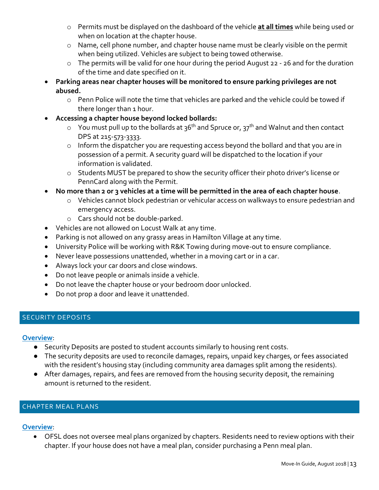- o Permits must be displayed on the dashboard of the vehicle **at all times** while being used or when on location at the chapter house.
- o Name, cell phone number, and chapter house name must be clearly visible on the permit when being utilized. Vehicles are subject to being towed otherwise.
- o The permits will be valid for one hour during the period August 22 26 and for the duration of the time and date specified on it.
- **Parking areas near chapter houses will be monitored to ensure parking privileges are not abused.** 
	- o Penn Police will note the time that vehicles are parked and the vehicle could be towed if there longer than 1 hour.
- **Accessing a chapter house beyond locked bollards:**
	- $\circ$  You must pull up to the bollards at 36<sup>th</sup> and Spruce or, 37<sup>th</sup> and Walnut and then contact DPS at 215-573-3333.
	- o Inform the dispatcher you are requesting access beyond the bollard and that you are in possession of a permit. A security guard will be dispatched to the location if your information is validated.
	- o Students MUST be prepared to show the security officer their photo driver's license or PennCard along with the Permit.
- **No more than 2 or 3 vehicles at a time will be permitted in the area of each chapter house**.
	- o Vehicles cannot block pedestrian or vehicular access on walkways to ensure pedestrian and emergency access.
	- o Cars should not be double-parked.
- Vehicles are not allowed on Locust Walk at any time.
- Parking is not allowed on any grassy areas in Hamilton Village at any time.
- University Police will be working with R&K Towing during move-out to ensure compliance.
- Never leave possessions unattended, whether in a moving cart or in a car.
- Always lock your car doors and close windows.
- Do not leave people or animals inside a vehicle.
- Do not leave the chapter house or your bedroom door unlocked.
- Do not prop a door and leave it unattended.

#### SECURITY DEPOSITS

#### **Overview**:

- Security Deposits are posted to student accounts similarly to housing rent costs.
- The security deposits are used to reconcile damages, repairs, unpaid key charges, or fees associated with the resident's housing stay (including community area damages split among the residents).
- After damages, repairs, and fees are removed from the housing security deposit, the remaining amount is returned to the resident.

#### CHAPTER MEAL PLANS

#### **Overview**:

 OFSL does not oversee meal plans organized by chapters. Residents need to review options with their chapter. If your house does not have a meal plan, consider purchasing a Penn meal plan.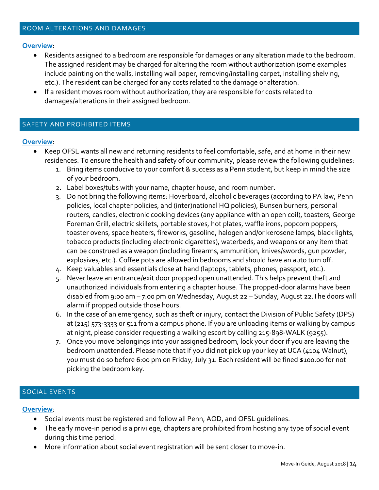#### **Overview**:

- Residents assigned to a bedroom are responsible for damages or any alteration made to the bedroom. The assigned resident may be charged for altering the room without authorization (some examples include painting on the walls, installing wall paper, removing/installing carpet, installing shelving, etc.). The resident can be charged for any costs related to the damage or alteration.
- If a resident moves room without authorization, they are responsible for costs related to damages/alterations in their assigned bedroom.

#### SAFETY AND PROHIBITED ITEMS

#### **Overview**:

- Keep OFSL wants all new and returning residents to feel comfortable, safe, and at home in their new residences. To ensure the health and safety of our community, please review the following guidelines:
	- 1. Bring items conducive to your comfort & success as a Penn student, but keep in mind the size of your bedroom.
	- 2. Label boxes/tubs with your name, chapter house, and room number.
	- 3. Do not bring the following items: Hoverboard, alcoholic beverages (according to PA law, Penn policies, local chapter policies, and (inter)national HQ policies), Bunsen burners, personal routers, candles, electronic cooking devices (any appliance with an open coil), toasters, George Foreman Grill, electric skillets, portable stoves, hot plates, waffle irons, popcorn poppers, toaster ovens, space heaters, fireworks, gasoline, halogen and/or kerosene lamps, black lights, tobacco products (including electronic cigarettes), waterbeds, and weapons or any item that can be construed as a weapon (including firearms, ammunition, knives/swords, gun powder, explosives, etc.). Coffee pots are allowed in bedrooms and should have an auto turn off.
	- 4. Keep valuables and essentials close at hand (laptops, tablets, phones, passport, etc.).
	- 5. Never leave an entrance/exit door propped open unattended. This helps prevent theft and unauthorized individuals from entering a chapter house. The propped-door alarms have been disabled from 9:00 am – 7:00 pm on Wednesday, August 22 – Sunday, August 22.The doors will alarm if propped outside those hours.
	- 6. In the case of an emergency, such as theft or injury, contact the Division of Public Safety (DPS) at (215) 573-3333 or 511 from a campus phone. If you are unloading items or walking by campus at night, please consider requesting a walking escort by calling 215-898-WALK (9255).
	- 7. Once you move belongings into your assigned bedroom, lock your door if you are leaving the bedroom unattended. Please note that if you did not pick up your key at UCA (4104 Walnut), you must do so before 6:00 pm on Friday, July 31. Each resident will be fined \$100.00 for not picking the bedroom key.

#### SOCIAL EVENTS

#### **Overview**:

- Social events must be registered and follow all Penn, AOD, and OFSL guidelines.
- The early move-in period is a privilege, chapters are prohibited from hosting any type of social event during this time period.
- More information about social event registration will be sent closer to move-in.